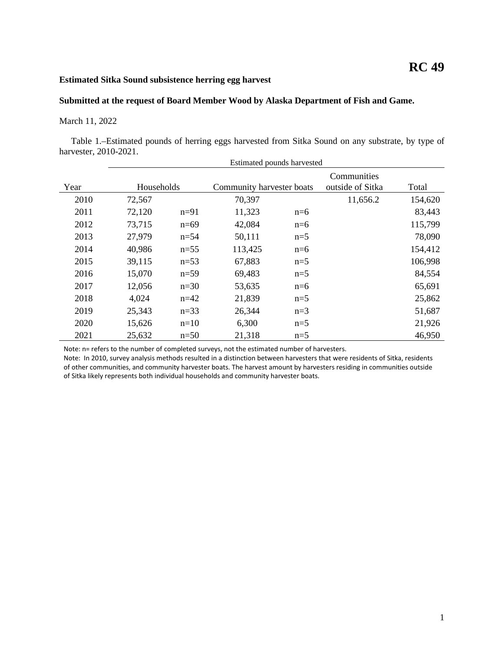## **RC 49**

## **Estimated Sitka Sound subsistence herring egg harvest**

## **Submitted at the request of Board Member Wood by Alaska Department of Fish and Game.**

## March 11, 2022

Table 1.–Estimated pounds of herring eggs harvested from Sitka Sound on any substrate, by type of harvester, 2010-2021.

|      | Estimated pounds harvested |          |                           |       |                                 |         |
|------|----------------------------|----------|---------------------------|-------|---------------------------------|---------|
| Year | Households                 |          | Community harvester boats |       | Communities<br>outside of Sitka | Total   |
| 2010 | 72,567                     |          | 70,397                    |       | 11,656.2                        | 154,620 |
| 2011 | 72,120                     | $n=91$   | 11,323                    | $n=6$ |                                 | 83,443  |
| 2012 | 73,715                     | $n=69$   | 42,084                    | $n=6$ |                                 | 115,799 |
| 2013 | 27,979                     | $n=54$   | 50,111                    | $n=5$ |                                 | 78,090  |
| 2014 | 40,986                     | $n=55$   | 113,425                   | $n=6$ |                                 | 154,412 |
| 2015 | 39,115                     | $n=53$   | 67,883                    | $n=5$ |                                 | 106,998 |
| 2016 | 15,070                     | $n=59$   | 69,483                    | $n=5$ |                                 | 84,554  |
| 2017 | 12,056                     | $n=30$   | 53,635                    | $n=6$ |                                 | 65,691  |
| 2018 | 4,024                      | $n=42$   | 21,839                    | $n=5$ |                                 | 25,862  |
| 2019 | 25,343                     | $n = 33$ | 26,344                    | $n=3$ |                                 | 51,687  |
| 2020 | 15,626                     | $n=10$   | 6,300                     | $n=5$ |                                 | 21,926  |
| 2021 | 25,632                     | $n=50$   | 21,318                    | $n=5$ |                                 | 46,950  |

Note: n= refers to the number of completed surveys, not the estimated number of harvesters.

Note: In 2010, survey analysis methods resulted in a distinction between harvesters that were residents of Sitka, residents of other communities, and community harvester boats. The harvest amount by harvesters residing in communities outside of Sitka likely represents both individual households and community harvester boats.